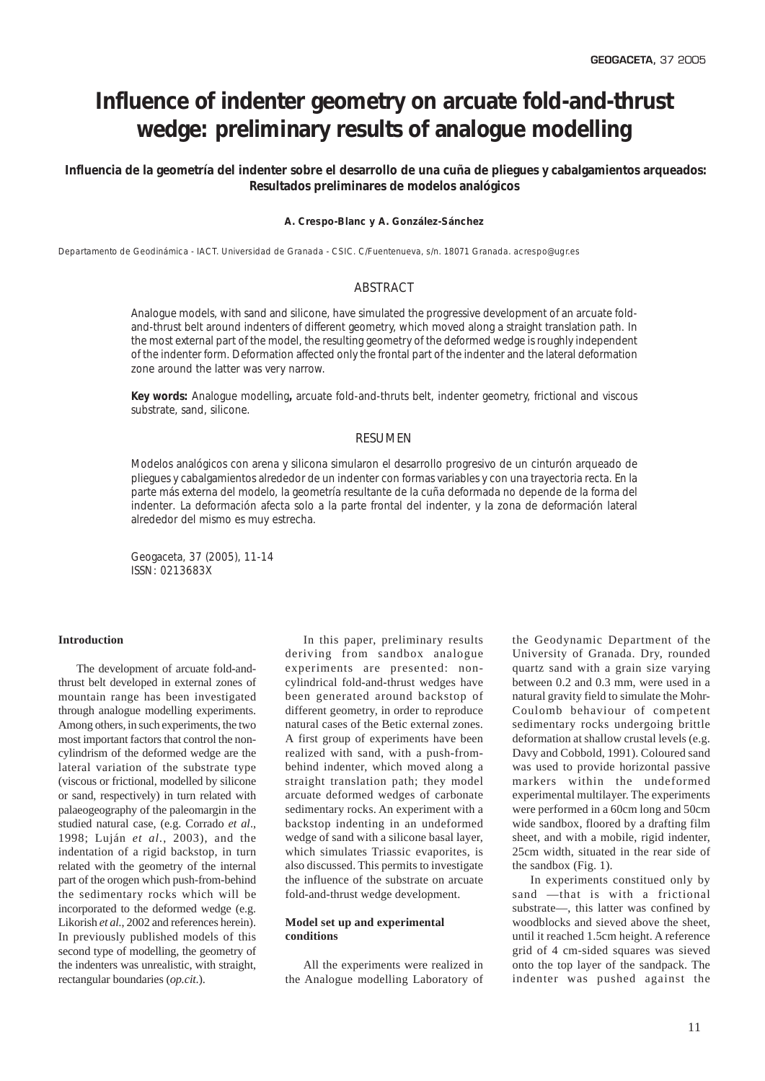# **Influence of indenter geometry on arcuate fold-and-thrust wedge: preliminary results of analogue modelling**

 *Influencia de la geometría del indenter sobre el desarrollo de una cuña de pliegues y cabalgamientos arqueados: Resultados preliminares de modelos analógicos*

## **A. Crespo-Blanc y A. González-Sánchez**

Departamento de Geodinámica - IACT. Universidad de Granada - CSIC. C/Fuentenueva, s/n. 18071 Granada. acrespo@ugr.es

## ABSTRACT

*Analogue models, with sand and silicone, have simulated the progressive development of an arcuate foldand-thrust belt around indenters of different geometry, which moved along a straight translation path. In the most external part of the model, the resulting geometry of the deformed wedge is roughly independent of the indenter form. Deformation affected only the frontal part of the indenter and the lateral deformation zone around the latter was very narrow.*

*Key words: Analogue modelling, arcuate fold-and-thruts belt, indenter geometry, frictional and viscous substrate, sand, silicone.*

# **RESUMEN**

*Modelos analógicos con arena y silicona simularon el desarrollo progresivo de un cinturón arqueado de pliegues y cabalgamientos alrededor de un* indenter *con formas variables y con una trayectoria recta. En la parte más externa del modelo, la geometría resultante de la cuña deformada no depende de la forma del* indenter*. La deformación afecta solo a la parte frontal del* indenter*, y la zona de deformación lateral alrededor del mismo es muy estrecha.*

*Geogaceta, 37 (2005), 11-14 ISSN: 0213683X*

## **Introduction**

The development of arcuate fold-andthrust belt developed in external zones of mountain range has been investigated through analogue modelling experiments. Among others, in such experiments, the two most important factors that control the noncylindrism of the deformed wedge are the lateral variation of the substrate type (viscous or frictional, modelled by silicone or sand, respectively) in turn related with palaeogeography of the paleomargin in the studied natural case, (e.g. Corrado *et al*., 1998; Luján *et al.*, 2003), and the indentation of a rigid backstop, in turn related with the geometry of the internal part of the orogen which push-from-behind the sedimentary rocks which will be incorporated to the deformed wedge (e.g. Likorish *et al.*, 2002 and references herein). In previously published models of this second type of modelling, the geometry of the indenters was unrealistic, with straight, rectangular boundaries (*op.cit*.).

In this paper, preliminary results deriving from sandbox analogue experiments are presented: noncylindrical fold-and-thrust wedges have been generated around backstop of different geometry, in order to reproduce natural cases of the Betic external zones. A first group of experiments have been realized with sand, with a push-frombehind indenter, which moved along a straight translation path; they model arcuate deformed wedges of carbonate sedimentary rocks. An experiment with a backstop indenting in an undeformed wedge of sand with a silicone basal layer, which simulates Triassic evaporites, is also discussed. This permits to investigate the influence of the substrate on arcuate fold-and-thrust wedge development.

# **Model set up and experimental conditions**

All the experiments were realized in the Analogue modelling Laboratory of the Geodynamic Department of the University of Granada. Dry, rounded quartz sand with a grain size varying between 0.2 and 0.3 mm, were used in a natural gravity field to simulate the Mohr-Coulomb behaviour of competent sedimentary rocks undergoing brittle deformation at shallow crustal levels (e.g. Davy and Cobbold, 1991). Coloured sand was used to provide horizontal passive markers within the undeformed experimental multilayer. The experiments were performed in a 60cm long and 50cm wide sandbox, floored by a drafting film sheet, and with a mobile, rigid indenter, 25cm width, situated in the rear side of the sandbox (Fig. 1).

In experiments constitued only by sand —that is with a frictional substrate—, this latter was confined by woodblocks and sieved above the sheet, until it reached 1.5cm height. A reference grid of 4 cm-sided squares was sieved onto the top layer of the sandpack. The indenter was pushed against the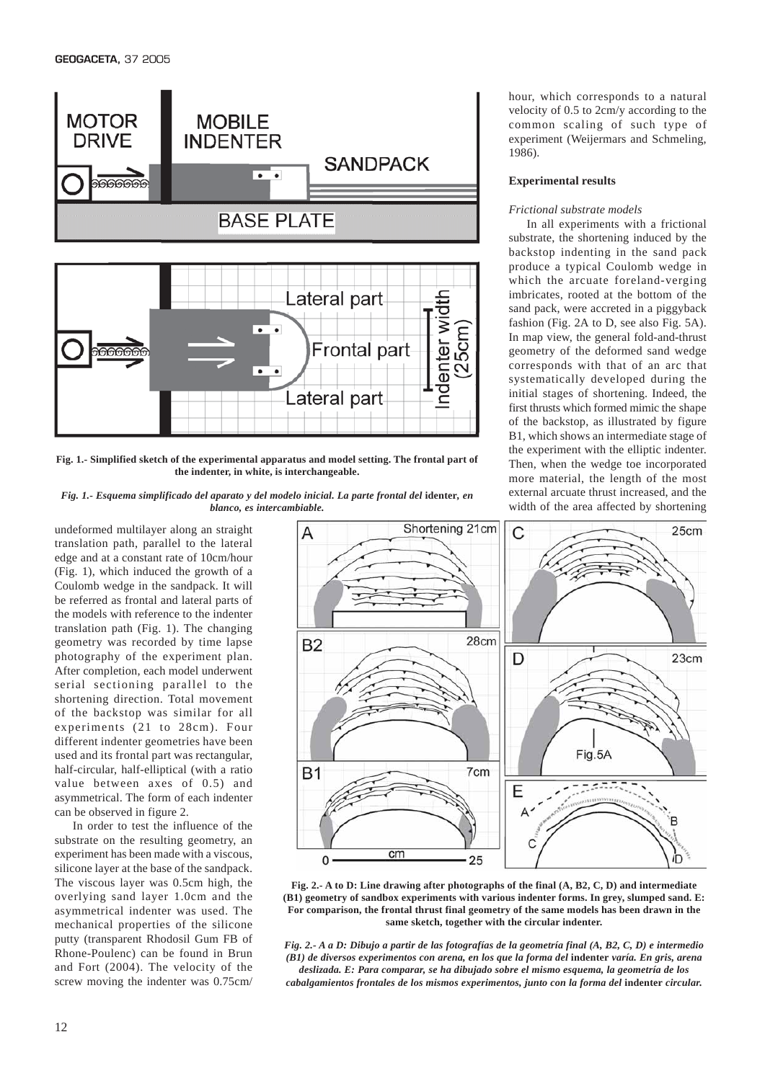

**Fig. 1.- Simplified sketch of the experimental apparatus and model setting. The frontal part of the indenter, in white, is interchangeable.**

*Fig. 1.- Esquema simplificado del aparato y del modelo inicial. La parte frontal del* **identer***, en blanco, es intercambiable.*

undeformed multilayer along an straight translation path, parallel to the lateral edge and at a constant rate of 10cm/hour (Fig. 1), which induced the growth of a Coulomb wedge in the sandpack. It will be referred as frontal and lateral parts of the models with reference to the indenter translation path (Fig. 1). The changing geometry was recorded by time lapse photography of the experiment plan. After completion, each model underwent serial sectioning parallel to the shortening direction. Total movement of the backstop was similar for all experiments (21 to 28cm). Four different indenter geometries have been used and its frontal part was rectangular, half-circular, half-elliptical (with a ratio value between axes of 0.5) and asymmetrical. The form of each indenter can be observed in figure 2.

In order to test the influence of the substrate on the resulting geometry, an experiment has been made with a viscous, silicone layer at the base of the sandpack. The viscous layer was 0.5cm high, the overlying sand layer 1.0cm and the asymmetrical indenter was used. The mechanical properties of the silicone putty (transparent Rhodosil Gum FB of Rhone-Poulenc) can be found in Brun and Fort (2004). The velocity of the screw moving the indenter was 0.75cm/ hour, which corresponds to a natural velocity of 0.5 to 2cm/y according to the common scaling of such type of experiment (Weijermars and Schmeling, 1986).

#### **Experimental results**

### *Frictional substrate models*

In all experiments with a frictional substrate, the shortening induced by the backstop indenting in the sand pack produce a typical Coulomb wedge in which the arcuate foreland-verging imbricates, rooted at the bottom of the sand pack, were accreted in a piggyback fashion (Fig. 2A to D, see also Fig. 5A). In map view, the general fold-and-thrust geometry of the deformed sand wedge corresponds with that of an arc that systematically developed during the initial stages of shortening. Indeed, the first thrusts which formed mimic the shape of the backstop, as illustrated by figure B1, which shows an intermediate stage of the experiment with the elliptic indenter. Then, when the wedge toe incorporated more material, the length of the most external arcuate thrust increased, and the width of the area affected by shortening



**Fig. 2.- A to D: Line drawing after photographs of the final (A, B2, C, D) and intermediate (B1) geometry of sandbox experiments with various indenter forms. In grey, slumped sand. E: For comparison, the frontal thrust final geometry of the same models has been drawn in the same sketch, together with the circular indenter.**

*Fig. 2.- A a D: Dibujo a partir de las fotografías de la geometría final (A, B2, C, D) e intermedio (B1) de diversos experimentos con arena, en los que la forma del* **indenter** *varía. En gris, arena deslizada. E: Para comparar, se ha dibujado sobre el mismo esquema, la geometría de los cabalgamientos frontales de los mismos experimentos, junto con la forma del* **indenter** *circular.*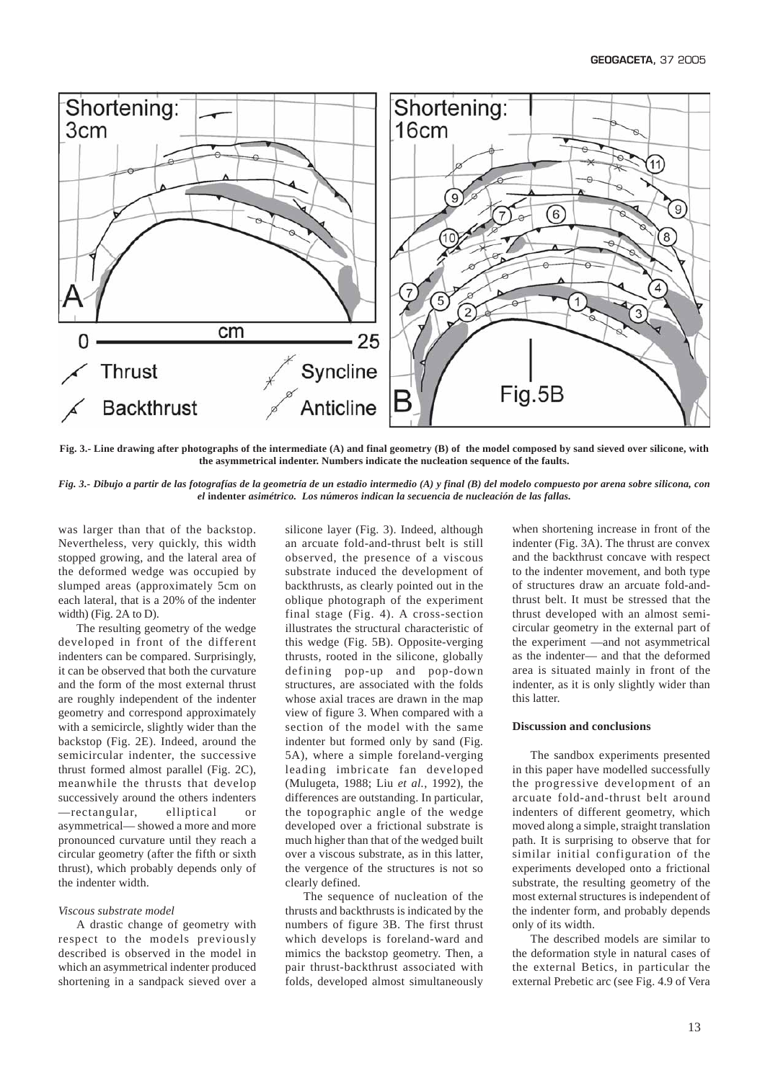

**Fig. 3.- Line drawing after photographs of the intermediate (A) and final geometry (B) of the model composed by sand sieved over silicone, with the asymmetrical indenter. Numbers indicate the nucleation sequence of the faults.**

*Fig. 3.- Dibujo a partir de las fotografías de la geometría de un estadio intermedio (A) y final (B) del modelo compuesto por arena sobre silicona, con el* **indenter** *asimétrico. Los números indican la secuencia de nucleación de las fallas.*

was larger than that of the backstop. Nevertheless, very quickly, this width stopped growing, and the lateral area of the deformed wedge was occupied by slumped areas (approximately 5cm on each lateral, that is a 20% of the indenter width) (Fig. 2A to D).

The resulting geometry of the wedge developed in front of the different indenters can be compared. Surprisingly, it can be observed that both the curvature and the form of the most external thrust are roughly independent of the indenter geometry and correspond approximately with a semicircle, slightly wider than the backstop (Fig. 2E). Indeed, around the semicircular indenter, the successive thrust formed almost parallel (Fig. 2C), meanwhile the thrusts that develop successively around the others indenters —rectangular, elliptical or asymmetrical— showed a more and more pronounced curvature until they reach a circular geometry (after the fifth or sixth thrust), which probably depends only of the indenter width.

#### *Viscous substrate model*

A drastic change of geometry with respect to the models previously described is observed in the model in which an asymmetrical indenter produced shortening in a sandpack sieved over a

silicone layer (Fig. 3). Indeed, although an arcuate fold-and-thrust belt is still observed, the presence of a viscous substrate induced the development of backthrusts, as clearly pointed out in the oblique photograph of the experiment final stage (Fig. 4). A cross-section illustrates the structural characteristic of this wedge (Fig. 5B). Opposite-verging thrusts, rooted in the silicone, globally defining pop-up and pop-down structures, are associated with the folds whose axial traces are drawn in the map view of figure 3. When compared with a section of the model with the same indenter but formed only by sand (Fig. 5A), where a simple foreland-verging leading imbricate fan developed (Mulugeta, 1988; Liu *et al.*, 1992), the differences are outstanding. In particular, the topographic angle of the wedge developed over a frictional substrate is much higher than that of the wedged built over a viscous substrate, as in this latter, the vergence of the structures is not so clearly defined.

The sequence of nucleation of the thrusts and backthrusts is indicated by the numbers of figure 3B. The first thrust which develops is foreland-ward and mimics the backstop geometry. Then, a pair thrust-backthrust associated with folds, developed almost simultaneously

when shortening increase in front of the indenter (Fig. 3A). The thrust are convex and the backthrust concave with respect to the indenter movement, and both type of structures draw an arcuate fold-andthrust belt. It must be stressed that the thrust developed with an almost semicircular geometry in the external part of the experiment —and not asymmetrical as the indenter— and that the deformed area is situated mainly in front of the indenter, as it is only slightly wider than this latter.

#### **Discussion and conclusions**

The sandbox experiments presented in this paper have modelled successfully the progressive development of an arcuate fold-and-thrust belt around indenters of different geometry, which moved along a simple, straight translation path. It is surprising to observe that for similar initial configuration of the experiments developed onto a frictional substrate, the resulting geometry of the most external structures is independent of the indenter form, and probably depends only of its width.

The described models are similar to the deformation style in natural cases of the external Betics, in particular the external Prebetic arc (see Fig. 4.9 of Vera